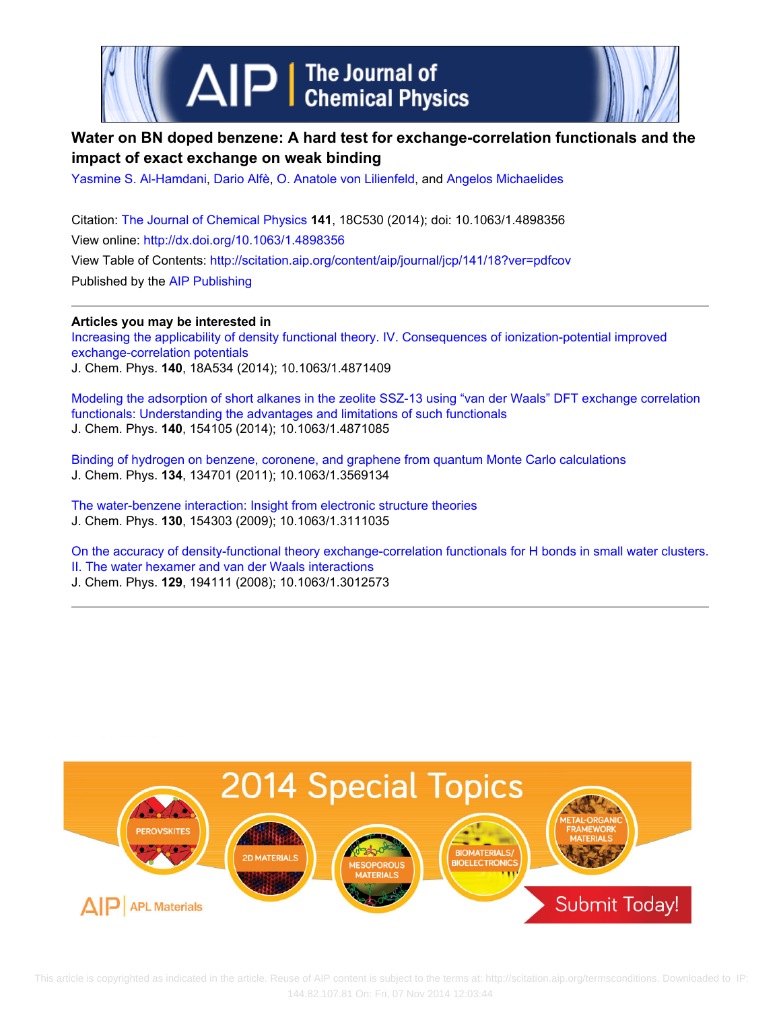

# **Water on BN doped benzene: A hard test for exchange-correlation functionals and the impact of exact exchange on weak binding**

[Yasmine S. Al-Hamdani](http://scitation.aip.org/search?value1=Yasmine+S.+Al-Hamdani&option1=author), [Dario Alfè](http://scitation.aip.org/search?value1=Dario+Alf�&option1=author), [O. Anatole von Lilienfeld](http://scitation.aip.org/search?value1=O.+Anatole+von+Lilienfeld&option1=author), and [Angelos Michaelides](http://scitation.aip.org/search?value1=Angelos+Michaelides&option1=author)

Citation: [The Journal of Chemical Physics](http://scitation.aip.org/content/aip/journal/jcp?ver=pdfcov) **141**, 18C530 (2014); doi: 10.1063/1.4898356 View online: <http://dx.doi.org/10.1063/1.4898356> View Table of Contents: <http://scitation.aip.org/content/aip/journal/jcp/141/18?ver=pdfcov> Published by the [AIP Publishing](http://scitation.aip.org/content/aip?ver=pdfcov)

**Articles you may be interested in** [Increasing the applicability of density functional theory. IV. Consequences of ionization-potential improved](http://scitation.aip.org/content/aip/journal/jcp/140/18/10.1063/1.4871409?ver=pdfcov) [exchange-correlation potentials](http://scitation.aip.org/content/aip/journal/jcp/140/18/10.1063/1.4871409?ver=pdfcov) J. Chem. Phys. **140**, 18A534 (2014); 10.1063/1.4871409

[Modeling the adsorption of short alkanes in the zeolite SSZ-13 using "van der Waals" DFT exchange correlation](http://scitation.aip.org/content/aip/journal/jcp/140/15/10.1063/1.4871085?ver=pdfcov) [functionals: Understanding the advantages and limitations of such functionals](http://scitation.aip.org/content/aip/journal/jcp/140/15/10.1063/1.4871085?ver=pdfcov) J. Chem. Phys. **140**, 154105 (2014); 10.1063/1.4871085

[Binding of hydrogen on benzene, coronene, and graphene from quantum Monte Carlo calculations](http://scitation.aip.org/content/aip/journal/jcp/134/13/10.1063/1.3569134?ver=pdfcov) J. Chem. Phys. **134**, 134701 (2011); 10.1063/1.3569134

[The water-benzene interaction: Insight from electronic structure theories](http://scitation.aip.org/content/aip/journal/jcp/130/15/10.1063/1.3111035?ver=pdfcov) J. Chem. Phys. **130**, 154303 (2009); 10.1063/1.3111035

[On the accuracy of density-functional theory exchange-correlation functionals for H bonds in small water clusters.](http://scitation.aip.org/content/aip/journal/jcp/129/19/10.1063/1.3012573?ver=pdfcov) [II. The water hexamer and van der Waals interactions](http://scitation.aip.org/content/aip/journal/jcp/129/19/10.1063/1.3012573?ver=pdfcov)

J. Chem. Phys. **129**, 194111 (2008); 10.1063/1.3012573



 This article is copyrighted as indicated in the article. Reuse of AIP content is subject to the terms at: http://scitation.aip.org/termsconditions. Downloaded to IP: 144.82.107.81 On: Fri, 07 Nov 2014 12:03:44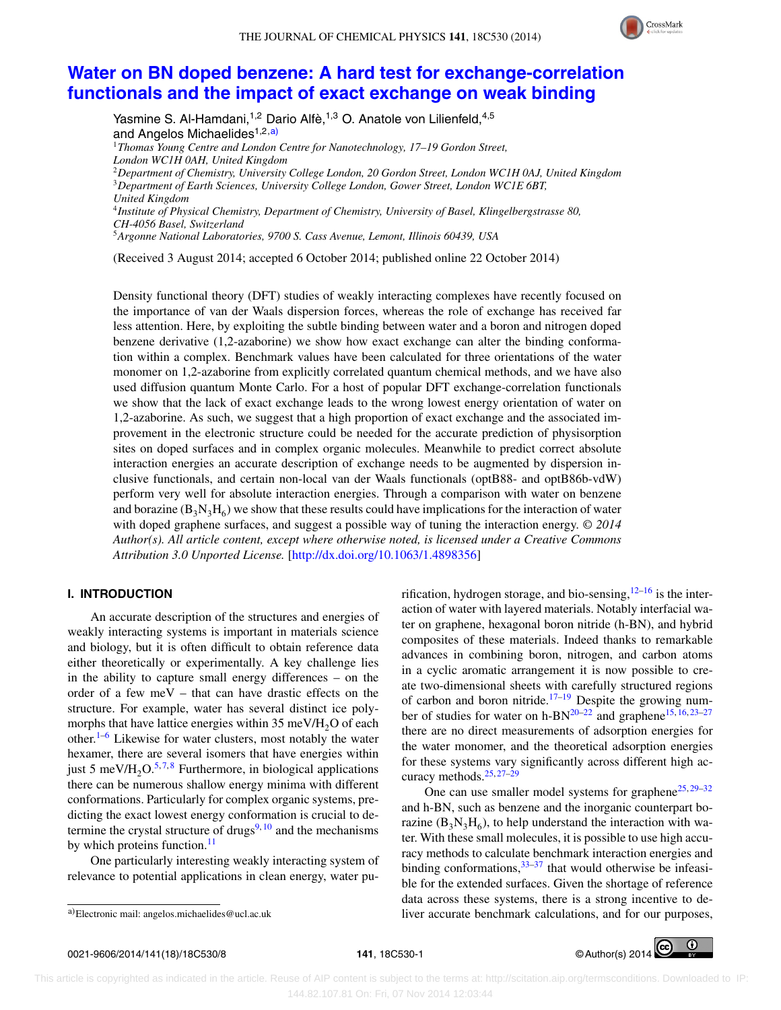

# **[Water on BN doped benzene: A hard test for exchange-correlation](http://dx.doi.org/10.1063/1.4898356) [functionals and the impact of exact exchange on weak binding](http://dx.doi.org/10.1063/1.4898356)**

Yasmine S. Al-Hamdani,<sup>1,2</sup> Dario Alfè,<sup>1,3</sup> O. Anatole von Lilienfeld,<sup>4,5</sup> and Angelos Michaelides<sup>1,2,a)</sup> <sup>1</sup>*Thomas Young Centre and London Centre for Nanotechnology, 17–19 Gordon Street, London WC1H 0AH, United Kingdom* <sup>2</sup>*Department of Chemistry, University College London, 20 Gordon Street, London WC1H 0AJ, United Kingdom* <sup>3</sup>*Department of Earth Sciences, University College London, Gower Street, London WC1E 6BT, United Kingdom* <sup>4</sup>*Institute of Physical Chemistry, Department of Chemistry, University of Basel, Klingelbergstrasse 80, CH-4056 Basel, Switzerland*

<sup>5</sup>*Argonne National Laboratories, 9700 S. Cass Avenue, Lemont, Illinois 60439, USA*

(Received 3 August 2014; accepted 6 October 2014; published online 22 October 2014)

Density functional theory (DFT) studies of weakly interacting complexes have recently focused on the importance of van der Waals dispersion forces, whereas the role of exchange has received far less attention. Here, by exploiting the subtle binding between water and a boron and nitrogen doped benzene derivative (1,2-azaborine) we show how exact exchange can alter the binding conformation within a complex. Benchmark values have been calculated for three orientations of the water monomer on 1,2-azaborine from explicitly correlated quantum chemical methods, and we have also used diffusion quantum Monte Carlo. For a host of popular DFT exchange-correlation functionals we show that the lack of exact exchange leads to the wrong lowest energy orientation of water on 1,2-azaborine. As such, we suggest that a high proportion of exact exchange and the associated improvement in the electronic structure could be needed for the accurate prediction of physisorption sites on doped surfaces and in complex organic molecules. Meanwhile to predict correct absolute interaction energies an accurate description of exchange needs to be augmented by dispersion inclusive functionals, and certain non-local van der Waals functionals (optB88- and optB86b-vdW) perform very well for absolute interaction energies. Through a comparison with water on benzene and borazine  $(B_3N_3H_6)$  we show that these results could have implications for the interaction of water with doped graphene surfaces, and suggest a possible way of tuning the interaction energy. *© 2014 Author(s). All article content, except where otherwise noted, is licensed under a Creative Commons Attribution 3.0 Unported License.* [\[http://dx.doi.org/10.1063/1.4898356\]](http://dx.doi.org/10.1063/1.4898356)

## **I. INTRODUCTION**

An accurate description of the structures and energies of weakly interacting systems is important in materials science and biology, but it is often difficult to obtain reference data either theoretically or experimentally. A key challenge lies in the ability to capture small energy differences – on the order of a few meV – that can have drastic effects on the structure. For example, water has several distinct ice polymorphs that have lattice energies within  $35 \text{ meV/H}_{2}$ O of each other. $1-6$  Likewise for water clusters, most notably the water hexamer, there are several isomers that have energies within just 5 meV/H<sub>2</sub>O.<sup>5,7,8</sup> Furthermore, in biological applications there can be numerous shallow energy minima with different conformations. Particularly for complex organic systems, predicting the exact lowest energy conformation is crucial to determine the crystal structure of drugs<sup>9, 10</sup> and the mechanisms by which proteins function. $11$ 

One particularly interesting weakly interacting system of relevance to potential applications in clean energy, water purification, hydrogen storage, and bio-sensing,  $12-16$  is the interaction of water with layered materials. Notably interfacial water on graphene, hexagonal boron nitride (h-BN), and hybrid composites of these materials. Indeed thanks to remarkable advances in combining boron, nitrogen, and carbon atoms in a cyclic aromatic arrangement it is now possible to create two-dimensional sheets with carefully structured regions of carbon and boron nitride.<sup>17–19</sup> Despite the growing number of studies for water on h-BN<sup>20–22</sup> and graphene<sup>15, 16, 23–27</sup> there are no direct measurements of adsorption energies for the water monomer, and the theoretical adsorption energies for these systems vary significantly across different high accuracy methods.25, 27–29

One can use smaller model systems for graphene<sup>25, 29–32</sup> and h-BN, such as benzene and the inorganic counterpart borazine  $(B_3N_3H_6)$ , to help understand the interaction with water. With these small molecules, it is possible to use high accuracy methods to calculate benchmark interaction energies and binding conformations,  $33-37$  that would otherwise be infeasible for the extended surfaces. Given the shortage of reference data across these systems, there is a strong incentive to deliver accurate benchmark calculations, and for our purposes,



a)Electronic mail: [angelos.michaelides@ucl.ac.uk](mailto: angelos.michaelides@ucl.ac.uk)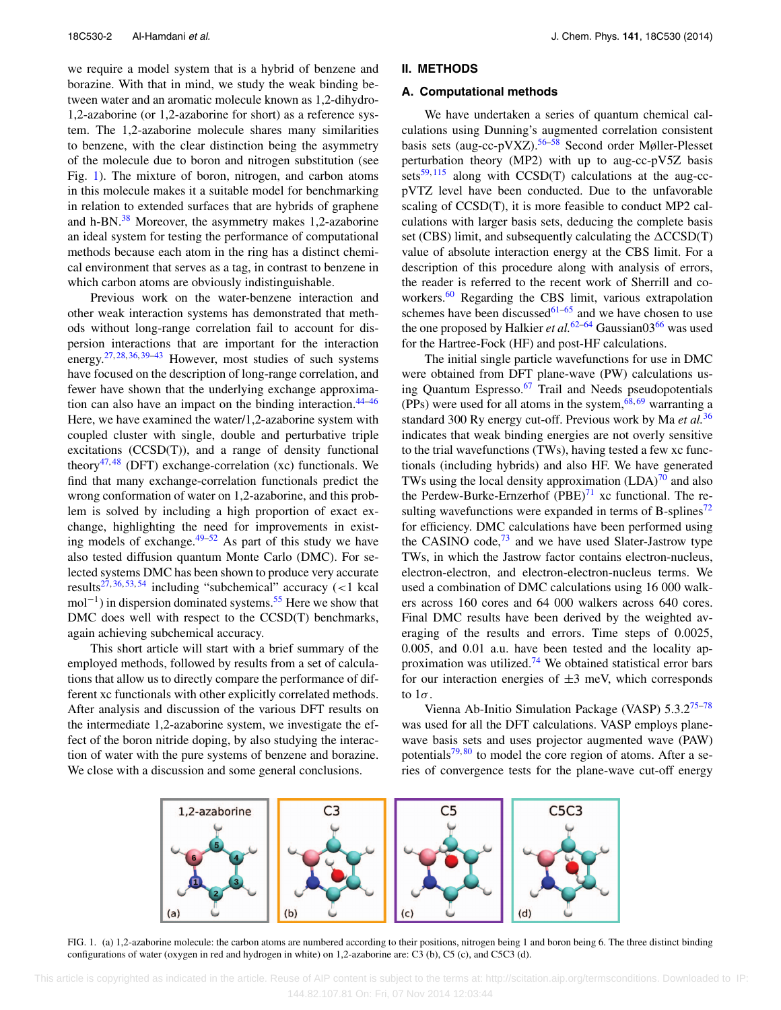we require a model system that is a hybrid of benzene and borazine. With that in mind, we study the weak binding between water and an aromatic molecule known as 1,2-dihydro-1,2-azaborine (or 1,2-azaborine for short) as a reference system. The 1,2-azaborine molecule shares many similarities to benzene, with the clear distinction being the asymmetry of the molecule due to boron and nitrogen substitution (see Fig. 1). The mixture of boron, nitrogen, and carbon atoms in this molecule makes it a suitable model for benchmarking in relation to extended surfaces that are hybrids of graphene and h-BN.<sup>38</sup> Moreover, the asymmetry makes 1,2-azaborine an ideal system for testing the performance of computational methods because each atom in the ring has a distinct chemical environment that serves as a tag, in contrast to benzene in which carbon atoms are obviously indistinguishable.

Previous work on the water-benzene interaction and other weak interaction systems has demonstrated that methods without long-range correlation fail to account for dispersion interactions that are important for the interaction energy.<sup>27, 28, 36, 39–43</sup> However, most studies of such systems have focused on the description of long-range correlation, and fewer have shown that the underlying exchange approximation can also have an impact on the binding interaction. $44-46$ Here, we have examined the water/1,2-azaborine system with coupled cluster with single, double and perturbative triple excitations (CCSD(T)), and a range of density functional theory<sup>47,48</sup> (DFT) exchange-correlation (xc) functionals. We find that many exchange-correlation functionals predict the wrong conformation of water on 1,2-azaborine, and this problem is solved by including a high proportion of exact exchange, highlighting the need for improvements in existing models of exchange. $49-52$  As part of this study we have also tested diffusion quantum Monte Carlo (DMC). For selected systems DMC has been shown to produce very accurate results27, 36, 53, <sup>54</sup> including "subchemical" accuracy (*<*1 kcal mol<sup>-1</sup>) in dispersion dominated systems.<sup>55</sup> Here we show that DMC does well with respect to the CCSD(T) benchmarks, again achieving subchemical accuracy.

This short article will start with a brief summary of the employed methods, followed by results from a set of calculations that allow us to directly compare the performance of different xc functionals with other explicitly correlated methods. After analysis and discussion of the various DFT results on the intermediate 1,2-azaborine system, we investigate the effect of the boron nitride doping, by also studying the interaction of water with the pure systems of benzene and borazine. We close with a discussion and some general conclusions.

#### **II. METHODS**

#### **A. Computational methods**

We have undertaken a series of quantum chemical calculations using Dunning's augmented correlation consistent basis sets (aug-cc-pVXZ).<sup>56–58</sup> Second order Møller-Plesset perturbation theory (MP2) with up to aug-cc-pV5Z basis sets $59,115$  along with CCSD(T) calculations at the aug-ccpVTZ level have been conducted. Due to the unfavorable scaling of CCSD(T), it is more feasible to conduct MP2 calculations with larger basis sets, deducing the complete basis set (CBS) limit, and subsequently calculating the  $\triangle CCSD(T)$ value of absolute interaction energy at the CBS limit. For a description of this procedure along with analysis of errors, the reader is referred to the recent work of Sherrill and coworkers.<sup>60</sup> Regarding the CBS limit, various extrapolation schemes have been discussed $61-65$  and we have chosen to use the one proposed by Halkier *et al.*<sup>62–64</sup> Gaussian03<sup>66</sup> was used for the Hartree-Fock (HF) and post-HF calculations.

The initial single particle wavefunctions for use in DMC were obtained from DFT plane-wave (PW) calculations using Quantum Espresso. $67$  Trail and Needs pseudopotentials (PPs) were used for all atoms in the system,  $68, 69$  warranting a standard 300 Ry energy cut-off. Previous work by Ma *et al.*<sup>36</sup> indicates that weak binding energies are not overly sensitive to the trial wavefunctions (TWs), having tested a few xc functionals (including hybrids) and also HF. We have generated TWs using the local density approximation  $(LDA)^{70}$  and also the Perdew-Burke-Ernzerhof  $(PBE)^{71}$  xc functional. The resulting wavefunctions were expanded in terms of B-splines<sup>72</sup> for efficiency. DMC calculations have been performed using the CASINO code, $73$  and we have used Slater-Jastrow type TWs, in which the Jastrow factor contains electron-nucleus, electron-electron, and electron-electron-nucleus terms. We used a combination of DMC calculations using 16 000 walkers across 160 cores and 64 000 walkers across 640 cores. Final DMC results have been derived by the weighted averaging of the results and errors. Time steps of 0.0025, 0.005, and 0.01 a.u. have been tested and the locality approximation was utilized.<sup>74</sup> We obtained statistical error bars for our interaction energies of  $\pm 3$  meV, which corresponds to 1*σ*.

Vienna Ab-Initio Simulation Package (VASP) 5.3.2<sup>75-78</sup> was used for all the DFT calculations. VASP employs planewave basis sets and uses projector augmented wave (PAW) potentials $79,80$  to model the core region of atoms. After a series of convergence tests for the plane-wave cut-off energy



FIG. 1. (a) 1,2-azaborine molecule: the carbon atoms are numbered according to their positions, nitrogen being 1 and boron being 6. The three distinct binding configurations of water (oxygen in red and hydrogen in white) on 1,2-azaborine are: C3 (b), C5 (c), and C5C3 (d).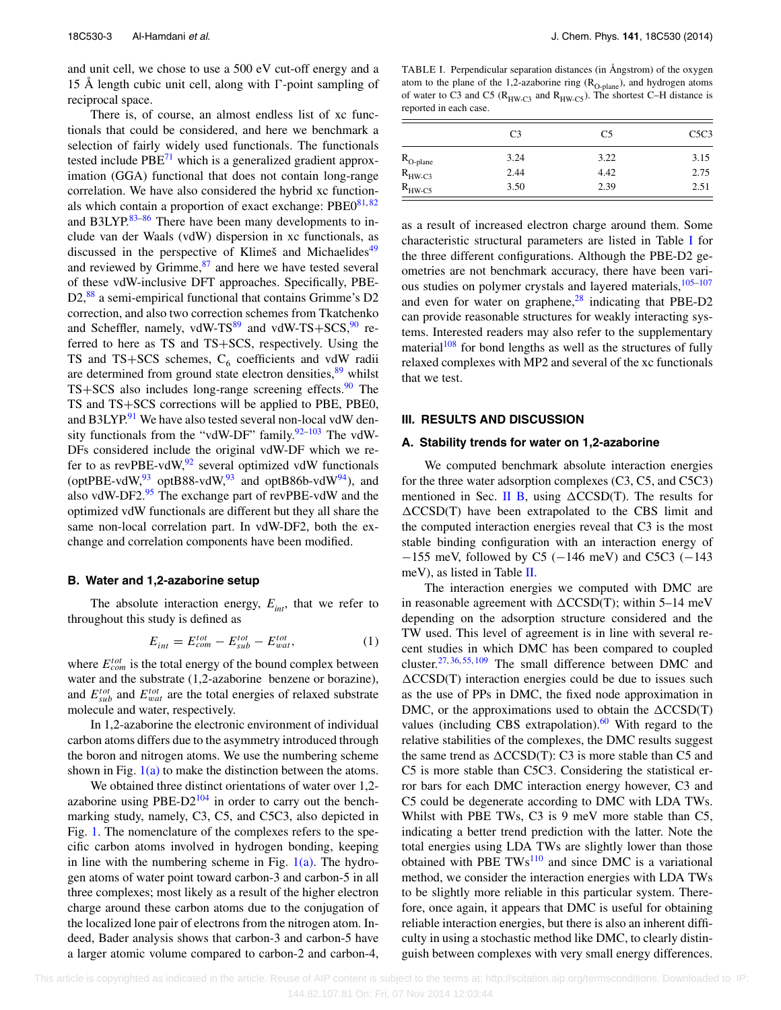and unit cell, we chose to use a 500 eV cut-off energy and a 15 Å length cubic unit cell, along with  $\Gamma$ -point sampling of reciprocal space.

There is, of course, an almost endless list of xc functionals that could be considered, and here we benchmark a selection of fairly widely used functionals. The functionals tested include  $PBE^{71}$  which is a generalized gradient approximation (GGA) functional that does not contain long-range correlation. We have also considered the hybrid xc functionals which contain a proportion of exact exchange:  $PBE0^{81,82}$ and B3LYP. $83-86$  There have been many developments to include van der Waals (vdW) dispersion in xc functionals, as discussed in the perspective of Klimeš and Michaelides<sup>49</sup> and reviewed by Grimme, $87$  and here we have tested several of these vdW-inclusive DFT approaches. Specifically, PBE-D2,<sup>88</sup> a semi-empirical functional that contains Grimme's D2 correction, and also two correction schemes from Tkatchenko and Scheffler, namely, vdW-TS $^{89}$  and vdW-TS+SCS,  $^{90}$  referred to here as TS and TS+SCS, respectively. Using the TS and TS+SCS schemes,  $C_6$  coefficients and vdW radii are determined from ground state electron densities,<sup>89</sup> whilst  $TS+SCS$  also includes long-range screening effects.<sup>90</sup> The TS and TS+SCS corrections will be applied to PBE, PBE0, and B3LYP.<sup>91</sup> We have also tested several non-local vdW density functionals from the "vdW-DF" family. $92-103$  The vdW-DFs considered include the original vdW-DF which we refer to as revPBE-vdW, $92$  several optimized vdW functionals (optPBE-vdW,  $93$  optB88-vdW,  $93$  and optB86b-vdW $94$ ), and also vdW-DF2. $95$  The exchange part of revPBE-vdW and the optimized vdW functionals are different but they all share the same non-local correlation part. In vdW-DF2, both the exchange and correlation components have been modified.

#### **B. Water and 1,2-azaborine setup**

The absolute interaction energy,  $E_{int}$ , that we refer to throughout this study is defined as

$$
E_{int} = E_{com}^{tot} - E_{sub}^{tot} - E_{wat}^{tot}, \qquad (1)
$$

where *Etot com* is the total energy of the bound complex between water and the substrate (1,2-azaborine benzene or borazine), and  $E_{sub}^{tot}$  and  $E_{wat}^{tot}$  are the total energies of relaxed substrate molecule and water, respectively.

In 1,2-azaborine the electronic environment of individual carbon atoms differs due to the asymmetry introduced through the boron and nitrogen atoms. We use the numbering scheme shown in Fig.  $1(a)$  to make the distinction between the atoms.

We obtained three distinct orientations of water over 1,2 azaborine using  $PBE-D2^{104}$  in order to carry out the benchmarking study, namely, C3, C5, and C5C3, also depicted in Fig. 1. The nomenclature of the complexes refers to the specific carbon atoms involved in hydrogen bonding, keeping in line with the numbering scheme in Fig.  $1(a)$ . The hydrogen atoms of water point toward carbon-3 and carbon-5 in all three complexes; most likely as a result of the higher electron charge around these carbon atoms due to the conjugation of the localized lone pair of electrons from the nitrogen atom. Indeed, Bader analysis shows that carbon-3 and carbon-5 have a larger atomic volume compared to carbon-2 and carbon-4,

TABLE I. Perpendicular separation distances (in Ångstrom) of the oxygen atom to the plane of the 1,2-azaborine ring  $(R_{O-plane})$ , and hydrogen atoms of water to C3 and C5 ( $R_{HW-C3}$  and  $R_{HW-C5}$ ). The shortest C–H distance is reported in each case.

|                                            | C <sub>3</sub> | C <sub>5</sub> | C5C3 |
|--------------------------------------------|----------------|----------------|------|
|                                            | 3.24           | 3.22           | 3.15 |
| $R_{O\text{-plane}}$<br>$R_{HW\text{-}C3}$ | 2.44           | 4.42           | 2.75 |
| $R_{HW-C5}$                                | 3.50           | 2.39           | 2.51 |

as a result of increased electron charge around them. Some characteristic structural parameters are listed in Table I for the three different configurations. Although the PBE-D2 geometries are not benchmark accuracy, there have been various studies on polymer crystals and layered materials,  $105-107$ and even for water on graphene, $28$  indicating that PBE-D2 can provide reasonable structures for weakly interacting systems. Interested readers may also refer to the supplementary material<sup>108</sup> for bond lengths as well as the structures of fully relaxed complexes with MP2 and several of the xc functionals that we test.

#### **III. RESULTS AND DISCUSSION**

### **A. Stability trends for water on 1,2-azaborine**

We computed benchmark absolute interaction energies for the three water adsorption complexes (C3, C5, and C5C3) mentioned in Sec. II B, using  $\triangle CCSD(T)$ . The results for  $\triangle CCSD(T)$  have been extrapolated to the CBS limit and the computed interaction energies reveal that C3 is the most stable binding configuration with an interaction energy of  $-155$  meV, followed by C5 ( $-146$  meV) and C5C3 ( $-143$ meV), as listed in Table II.

The interaction energies we computed with DMC are in reasonable agreement with  $\triangle CCSD(T)$ ; within 5–14 meV depending on the adsorption structure considered and the TW used. This level of agreement is in line with several recent studies in which DMC has been compared to coupled cluster. $27, 36, 55, 109$  The small difference between DMC and  $\triangle CCSD(T)$  interaction energies could be due to issues such as the use of PPs in DMC, the fixed node approximation in DMC, or the approximations used to obtain the  $\triangle CCSD(T)$ values (including CBS extrapolation). $60$  With regard to the relative stabilities of the complexes, the DMC results suggest the same trend as  $\triangle CCSD(T)$ : C3 is more stable than C5 and C5 is more stable than C5C3. Considering the statistical error bars for each DMC interaction energy however, C3 and C5 could be degenerate according to DMC with LDA TWs. Whilst with PBE TWs, C3 is 9 meV more stable than C5, indicating a better trend prediction with the latter. Note the total energies using LDA TWs are slightly lower than those obtained with PBE  $TWs<sup>110</sup>$  and since DMC is a variational method, we consider the interaction energies with LDA TWs to be slightly more reliable in this particular system. Therefore, once again, it appears that DMC is useful for obtaining reliable interaction energies, but there is also an inherent difficulty in using a stochastic method like DMC, to clearly distinguish between complexes with very small energy differences.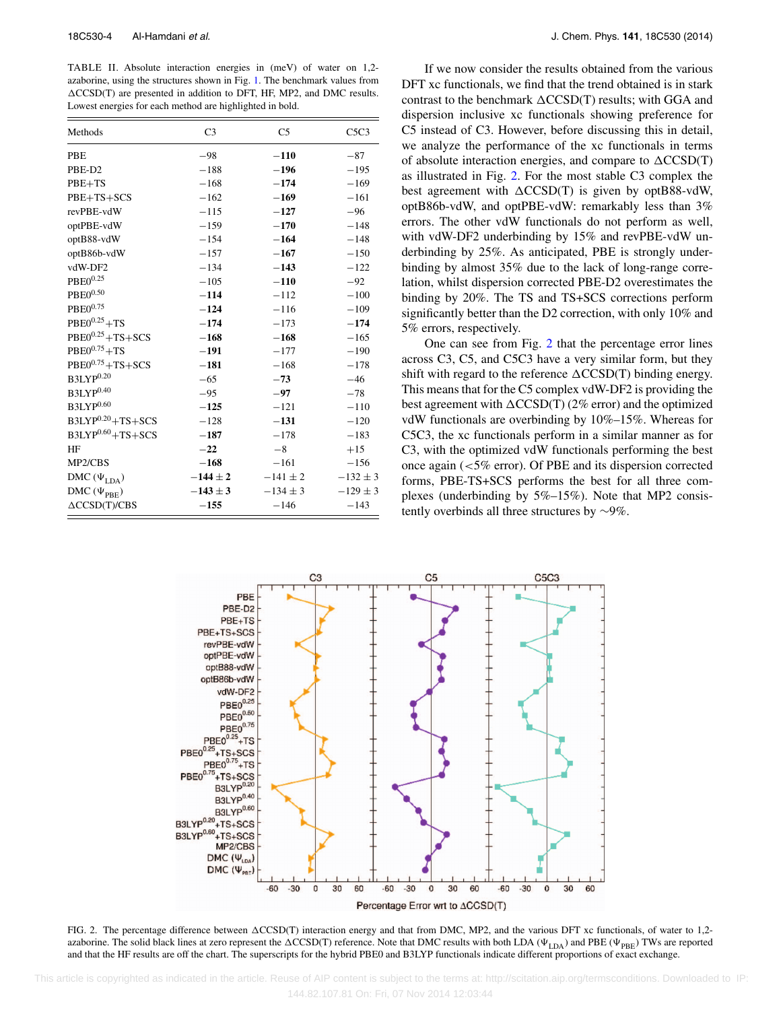TABLE II. Absolute interaction energies in (meV) of water on 1,2 azaborine, using the structures shown in Fig. 1. The benchmark values from  $\triangle CCSD(T)$  are presented in addition to DFT, HF, MP2, and DMC results. Lowest energies for each method are highlighted in bold.

| Methods                   | C <sub>3</sub> | C <sub>5</sub> | C5C3         |
|---------------------------|----------------|----------------|--------------|
| <b>PBE</b>                | $-98$          | $-110$         | $-87$        |
| PBE-D2                    | $-188$         | $-196$         | $-195$       |
| $PBE+TS$                  | $-168$         | $-174$         | $-169$       |
| PBE+TS+SCS                | $-162$         | $-169$         | $-161$       |
| revPBE-vdW                | $-115$         | $-127$         | $-96$        |
| optPBE-vdW                | $-159$         | $-170$         | $-148$       |
| optB88-vdW                | $-154$         | $-164$         | $-148$       |
| optB86b-vdW               | $-157$         | $-167$         | $-150$       |
| vdW-DF2                   | $-134$         | $-143$         | $-122$       |
| $PBE0^{0.25}$             | $-105$         | $-110$         | $-92$        |
| $PBE0^{0.50}$             | $-114$         | $-112$         | $-100$       |
| $PBE0^{0.75}$             | $-124$         | $-116$         | $-109$       |
| $PBE0^{0.25} + TS$        | $-174$         | $-173$         | $-174$       |
| $PBE0^{0.25}+TS+SCS$      | $-168$         | $-168$         | $-165$       |
| $PBE0^{0.75} + TS$        | $-191$         | $-177$         | $-190$       |
| $PBE0^{0.75}+TS+SCS$      | $-181$         | $-168$         | $-178$       |
| B3LYP <sup>0.20</sup>     | $-65$          | $-73$          | $-46$        |
| $B3LYP^{0.40}$            | $-95$          | $-97$          | $-78$        |
| B3LYP <sup>0.60</sup>     | $-125$         | $-121$         | $-110$       |
| $B3LYP^{0.20} + TS + SCS$ | $-128$         | $-131$         | $-120$       |
| $B3LYP^{0.60} + TS + SCS$ | $-187$         | $-178$         | $-183$       |
| HF                        | $-22$          | $-8$           | $+15$        |
| MP2/CBS                   | $-168$         | $-161$         | $-156$       |
| DMC $(\Psi_{LDA})$        | $-144 \pm 2$   | $-141 \pm 2$   | $-132 \pm 3$ |
| DMC $(\Psi_{\text{PBE}})$ | $-143 \pm 3$   | $-134 \pm 3$   | $-129 \pm 3$ |
| $\triangle CCSD(T)/CBS$   | $-155$         | $-146$         | $-143$       |

If we now consider the results obtained from the various DFT xc functionals, we find that the trend obtained is in stark contrast to the benchmark  $\triangle CCSD(T)$  results; with GGA and dispersion inclusive xc functionals showing preference for C5 instead of C3. However, before discussing this in detail, we analyze the performance of the xc functionals in terms of absolute interaction energies, and compare to  $\triangle CCSD(T)$ as illustrated in Fig. 2. For the most stable C3 complex the best agreement with  $\triangle CCSD(T)$  is given by optB88-vdW, optB86b-vdW, and optPBE-vdW: remarkably less than 3% errors. The other vdW functionals do not perform as well, with vdW-DF2 underbinding by 15% and revPBE-vdW underbinding by 25%. As anticipated, PBE is strongly underbinding by almost 35% due to the lack of long-range correlation, whilst dispersion corrected PBE-D2 overestimates the binding by 20%. The TS and TS+SCS corrections perform significantly better than the D2 correction, with only 10% and 5% errors, respectively.

One can see from Fig. 2 that the percentage error lines across C3, C5, and C5C3 have a very similar form, but they shift with regard to the reference  $\triangle CCSD(T)$  binding energy. This means that for the C5 complex vdW-DF2 is providing the best agreement with  $\Delta CCSD(T)$  (2% error) and the optimized vdW functionals are overbinding by 10%–15%. Whereas for C5C3, the xc functionals perform in a similar manner as for C3, with the optimized vdW functionals performing the best once again (*<*5% error). Of PBE and its dispersion corrected forms, PBE-TS+SCS performs the best for all three complexes (underbinding by 5%–15%). Note that MP2 consistently overbinds all three structures by ∼9%.



FIG. 2. The percentage difference between  $\triangle CCSD(T)$  interaction energy and that from DMC, MP2, and the various DFT xc functionals, of water to 1,2azaborine. The solid black lines at zero represent the  $\Delta CCSD(T)$  reference. Note that DMC results with both LDA ( $\Psi_{\rm LDA}$ ) and PBE ( $\Psi_{\rm PBE}$ ) TWs are reported and that the HF results are off the chart. The superscripts for the hybrid PBE0 and B3LYP functionals indicate different proportions of exact exchange.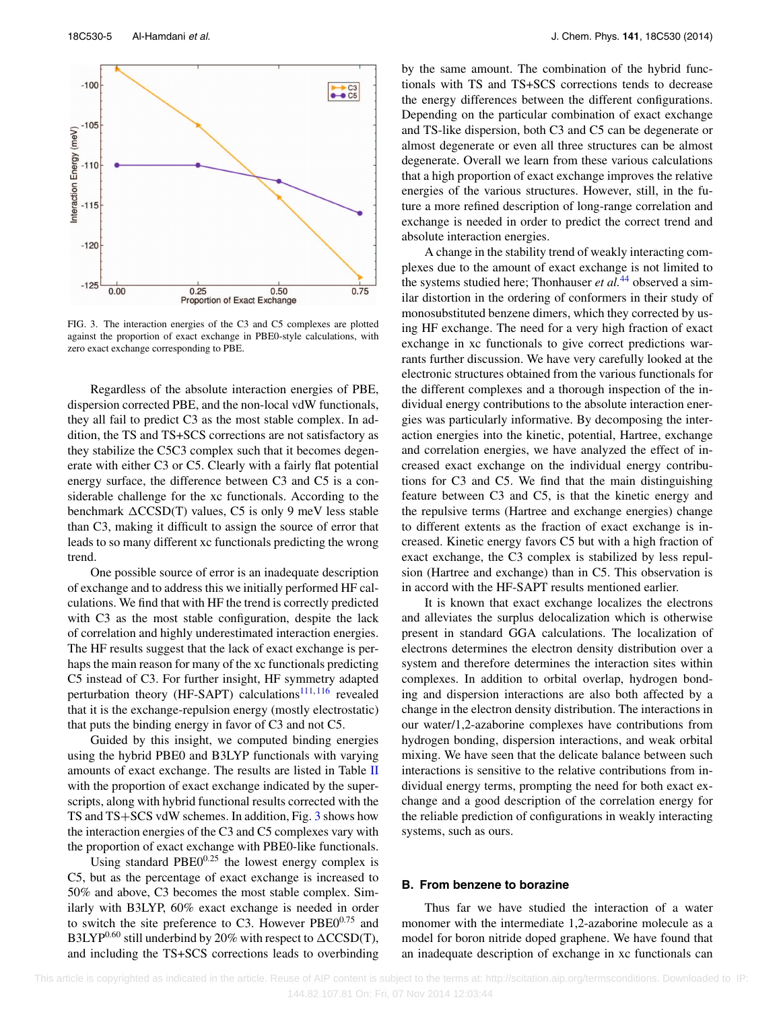

FIG. 3. The interaction energies of the C3 and C5 complexes are plotted against the proportion of exact exchange in PBE0-style calculations, with zero exact exchange corresponding to PBE.

Regardless of the absolute interaction energies of PBE, dispersion corrected PBE, and the non-local vdW functionals, they all fail to predict C3 as the most stable complex. In addition, the TS and TS+SCS corrections are not satisfactory as they stabilize the C5C3 complex such that it becomes degenerate with either C3 or C5. Clearly with a fairly flat potential energy surface, the difference between C3 and C5 is a considerable challenge for the xc functionals. According to the benchmark  $\triangle CCSD(T)$  values, C5 is only 9 meV less stable than C3, making it difficult to assign the source of error that leads to so many different xc functionals predicting the wrong trend.

One possible source of error is an inadequate description of exchange and to address this we initially performed HF calculations. We find that with HF the trend is correctly predicted with C<sub>3</sub> as the most stable configuration, despite the lack of correlation and highly underestimated interaction energies. The HF results suggest that the lack of exact exchange is perhaps the main reason for many of the xc functionals predicting C5 instead of C3. For further insight, HF symmetry adapted perturbation theory (HF-SAPT) calculations<sup>111, 116</sup> revealed that it is the exchange-repulsion energy (mostly electrostatic) that puts the binding energy in favor of C3 and not C5.

Guided by this insight, we computed binding energies using the hybrid PBE0 and B3LYP functionals with varying amounts of exact exchange. The results are listed in Table II with the proportion of exact exchange indicated by the superscripts, along with hybrid functional results corrected with the TS and TS+SCS vdW schemes. In addition, Fig. 3 shows how the interaction energies of the C3 and C5 complexes vary with the proportion of exact exchange with PBE0-like functionals.

Using standard  $PBE0^{0.25}$  the lowest energy complex is C5, but as the percentage of exact exchange is increased to 50% and above, C3 becomes the most stable complex. Similarly with B3LYP, 60% exact exchange is needed in order to switch the site preference to C3. However  $PBE0^{0.75}$  and B3LYP<sup>0.60</sup> still underbind by 20% with respect to  $\Delta CCSD(T)$ , and including the TS+SCS corrections leads to overbinding by the same amount. The combination of the hybrid functionals with TS and TS+SCS corrections tends to decrease the energy differences between the different configurations. Depending on the particular combination of exact exchange and TS-like dispersion, both C3 and C5 can be degenerate or almost degenerate or even all three structures can be almost degenerate. Overall we learn from these various calculations that a high proportion of exact exchange improves the relative energies of the various structures. However, still, in the future a more refined description of long-range correlation and exchange is needed in order to predict the correct trend and absolute interaction energies.

A change in the stability trend of weakly interacting complexes due to the amount of exact exchange is not limited to the systems studied here; Thonhauser *et al.*<sup>44</sup> observed a similar distortion in the ordering of conformers in their study of monosubstituted benzene dimers, which they corrected by using HF exchange. The need for a very high fraction of exact exchange in xc functionals to give correct predictions warrants further discussion. We have very carefully looked at the electronic structures obtained from the various functionals for the different complexes and a thorough inspection of the individual energy contributions to the absolute interaction energies was particularly informative. By decomposing the interaction energies into the kinetic, potential, Hartree, exchange and correlation energies, we have analyzed the effect of increased exact exchange on the individual energy contributions for C3 and C5. We find that the main distinguishing feature between C3 and C5, is that the kinetic energy and the repulsive terms (Hartree and exchange energies) change to different extents as the fraction of exact exchange is increased. Kinetic energy favors C5 but with a high fraction of exact exchange, the C3 complex is stabilized by less repulsion (Hartree and exchange) than in C5. This observation is in accord with the HF-SAPT results mentioned earlier.

It is known that exact exchange localizes the electrons and alleviates the surplus delocalization which is otherwise present in standard GGA calculations. The localization of electrons determines the electron density distribution over a system and therefore determines the interaction sites within complexes. In addition to orbital overlap, hydrogen bonding and dispersion interactions are also both affected by a change in the electron density distribution. The interactions in our water/1,2-azaborine complexes have contributions from hydrogen bonding, dispersion interactions, and weak orbital mixing. We have seen that the delicate balance between such interactions is sensitive to the relative contributions from individual energy terms, prompting the need for both exact exchange and a good description of the correlation energy for the reliable prediction of configurations in weakly interacting systems, such as ours.

### **B. From benzene to borazine**

Thus far we have studied the interaction of a water monomer with the intermediate 1,2-azaborine molecule as a model for boron nitride doped graphene. We have found that an inadequate description of exchange in xc functionals can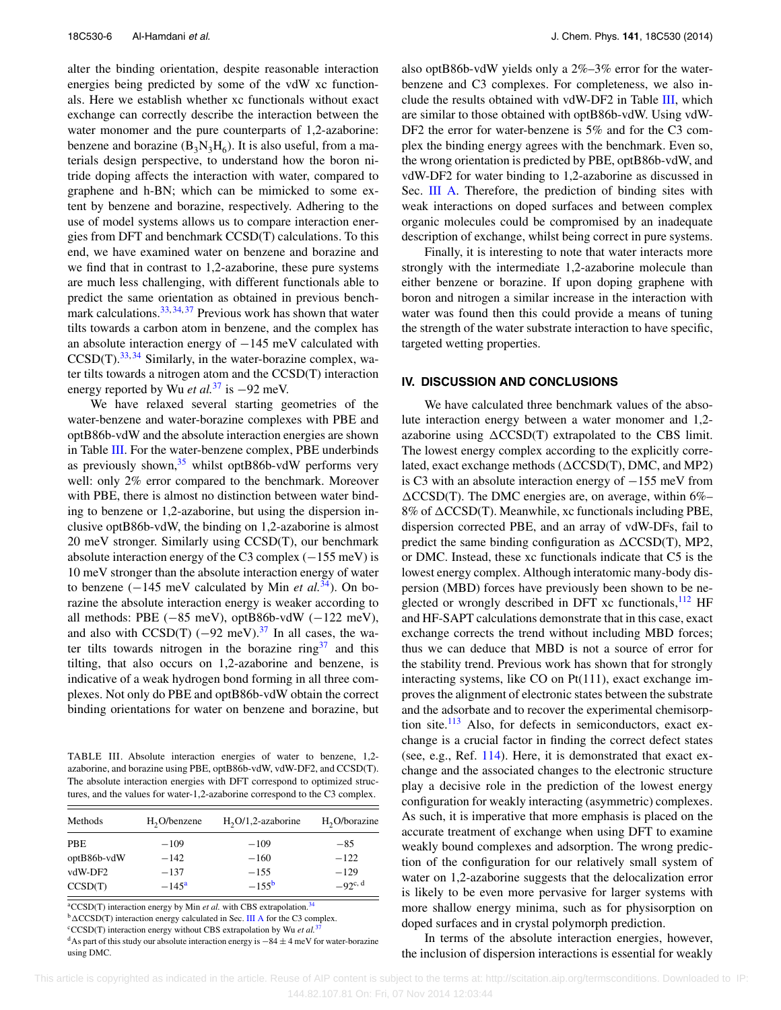alter the binding orientation, despite reasonable interaction energies being predicted by some of the vdW xc functionals. Here we establish whether xc functionals without exact exchange can correctly describe the interaction between the water monomer and the pure counterparts of 1,2-azaborine: benzene and borazine  $(B_3N_3H_6)$ . It is also useful, from a materials design perspective, to understand how the boron nitride doping affects the interaction with water, compared to graphene and h-BN; which can be mimicked to some extent by benzene and borazine, respectively. Adhering to the use of model systems allows us to compare interaction energies from DFT and benchmark CCSD(T) calculations. To this end, we have examined water on benzene and borazine and we find that in contrast to 1,2-azaborine, these pure systems are much less challenging, with different functionals able to predict the same orientation as obtained in previous benchmark calculations.<sup>33, 34, 37</sup> Previous work has shown that water tilts towards a carbon atom in benzene, and the complex has an absolute interaction energy of −145 meV calculated with  $CCSD(T).$ <sup>33, 34</sup> Similarly, in the water-borazine complex, water tilts towards a nitrogen atom and the CCSD(T) interaction energy reported by Wu *et al.*<sup>37</sup> is <sup>−</sup>92 meV.

We have relaxed several starting geometries of the water-benzene and water-borazine complexes with PBE and optB86b-vdW and the absolute interaction energies are shown in Table III. For the water-benzene complex, PBE underbinds as previously shown,  $35$  whilst optB86b-vdW performs very well: only 2% error compared to the benchmark. Moreover with PBE, there is almost no distinction between water binding to benzene or 1,2-azaborine, but using the dispersion inclusive optB86b-vdW, the binding on 1,2-azaborine is almost 20 meV stronger. Similarly using CCSD(T), our benchmark absolute interaction energy of the C3 complex  $(-155 \text{ meV})$  is 10 meV stronger than the absolute interaction energy of water to benzene (−145 meV calculated by Min *et al.*34). On borazine the absolute interaction energy is weaker according to all methods: PBE  $(-85 \text{ meV})$ , optB86b-vdW  $(-122 \text{ meV})$ , and also with  $CCSD(T)$  (−92 meV).<sup>37</sup> In all cases, the water tilts towards nitrogen in the borazine ring<sup>37</sup> and this tilting, that also occurs on 1,2-azaborine and benzene, is indicative of a weak hydrogen bond forming in all three complexes. Not only do PBE and optB86b-vdW obtain the correct binding orientations for water on benzene and borazine, but

TABLE III. Absolute interaction energies of water to benzene, 1,2 azaborine, and borazine using PBE, optB86b-vdW, vdW-DF2, and CCSD(T). The absolute interaction energies with DFT correspond to optimized structures, and the values for water-1,2-azaborine correspond to the C3 complex.

| Methods     | $H2O/b$ enzene | $H_2O/1$ , 2-azaborine | H <sub>2</sub> O/borazine |
|-------------|----------------|------------------------|---------------------------|
| <b>PBE</b>  | $-109$         | $-109$                 | $-85$                     |
| optB86b-vdW | $-142$         | $-160$                 | $-122$                    |
| vdW-DF2     | $-137$         | $-155$                 | $-129$                    |
| CCSD(T)     | $-145^{\rm a}$ | $-155^{\rm b}$         | $-92c, d$                 |

<sup>a</sup>CCSD(T) interaction energy by Min *et al.* with CBS extrapolation.<sup>34</sup>

<sup>b</sup>  $\triangle CCSD(T)$  interaction energy calculated in Sec. III A for the C3 complex.

<sup>c</sup>CCSD(T) interaction energy without CBS extrapolation by Wu et al.<sup>3</sup>

<sup>d</sup>As part of this study our absolute interaction energy is  $-84 \pm 4$  meV for water-borazine using DMC.

also optB86b-vdW yields only a 2%–3% error for the waterbenzene and C3 complexes. For completeness, we also include the results obtained with vdW-DF2 in Table III, which are similar to those obtained with optB86b-vdW. Using vdW-DF2 the error for water-benzene is 5% and for the C3 complex the binding energy agrees with the benchmark. Even so, the wrong orientation is predicted by PBE, optB86b-vdW, and vdW-DF2 for water binding to 1,2-azaborine as discussed in Sec. III A. Therefore, the prediction of binding sites with weak interactions on doped surfaces and between complex organic molecules could be compromised by an inadequate description of exchange, whilst being correct in pure systems.

Finally, it is interesting to note that water interacts more strongly with the intermediate 1,2-azaborine molecule than either benzene or borazine. If upon doping graphene with boron and nitrogen a similar increase in the interaction with water was found then this could provide a means of tuning the strength of the water substrate interaction to have specific, targeted wetting properties.

### **IV. DISCUSSION AND CONCLUSIONS**

We have calculated three benchmark values of the absolute interaction energy between a water monomer and 1,2 azaborine using  $\triangle CCSD(T)$  extrapolated to the CBS limit. The lowest energy complex according to the explicitly correlated, exact exchange methods ( $\triangle CCSD(T)$ , DMC, and MP2) is C3 with an absolute interaction energy of −155 meV from *-*CCSD(T). The DMC energies are, on average, within 6%– 8% of  $\triangle CCSD(T)$ . Meanwhile, xc functionals including PBE, dispersion corrected PBE, and an array of vdW-DFs, fail to predict the same binding configuration as  $\triangle CCSD(T)$ , MP2, or DMC. Instead, these xc functionals indicate that C5 is the lowest energy complex. Although interatomic many-body dispersion (MBD) forces have previously been shown to be neglected or wrongly described in DFT xc functionals,<sup>112</sup> HF and HF-SAPT calculations demonstrate that in this case, exact exchange corrects the trend without including MBD forces; thus we can deduce that MBD is not a source of error for the stability trend. Previous work has shown that for strongly interacting systems, like CO on Pt(111), exact exchange improves the alignment of electronic states between the substrate and the adsorbate and to recover the experimental chemisorption site.<sup>113</sup> Also, for defects in semiconductors, exact exchange is a crucial factor in finding the correct defect states (see, e.g., Ref. 114). Here, it is demonstrated that exact exchange and the associated changes to the electronic structure play a decisive role in the prediction of the lowest energy configuration for weakly interacting (asymmetric) complexes. As such, it is imperative that more emphasis is placed on the accurate treatment of exchange when using DFT to examine weakly bound complexes and adsorption. The wrong prediction of the configuration for our relatively small system of water on 1,2-azaborine suggests that the delocalization error is likely to be even more pervasive for larger systems with more shallow energy minima, such as for physisorption on doped surfaces and in crystal polymorph prediction.

In terms of the absolute interaction energies, however, the inclusion of dispersion interactions is essential for weakly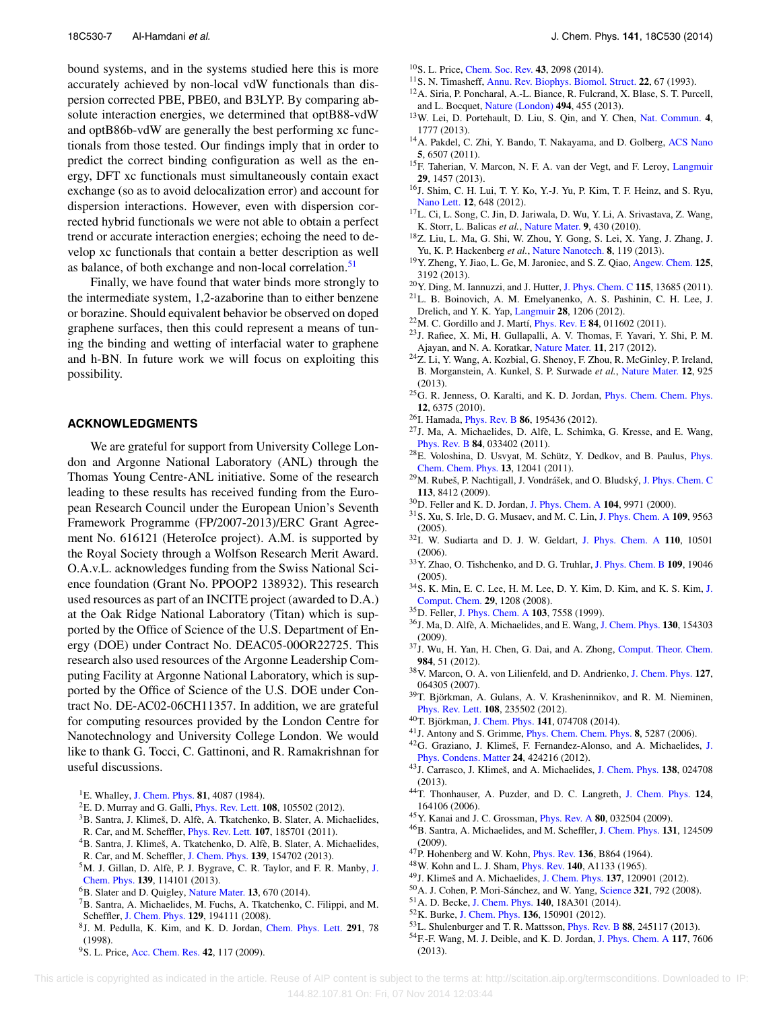bound systems, and in the systems studied here this is more accurately achieved by non-local vdW functionals than dispersion corrected PBE, PBE0, and B3LYP. By comparing absolute interaction energies, we determined that optB88-vdW and optB86b-vdW are generally the best performing xc functionals from those tested. Our findings imply that in order to predict the correct binding configuration as well as the energy, DFT xc functionals must simultaneously contain exact exchange (so as to avoid delocalization error) and account for dispersion interactions. However, even with dispersion corrected hybrid functionals we were not able to obtain a perfect trend or accurate interaction energies; echoing the need to develop xc functionals that contain a better description as well as balance, of both exchange and non-local correlation.<sup>51</sup>

Finally, we have found that water binds more strongly to the intermediate system, 1,2-azaborine than to either benzene or borazine. Should equivalent behavior be observed on doped graphene surfaces, then this could represent a means of tuning the binding and wetting of interfacial water to graphene and h-BN. In future work we will focus on exploiting this possibility.

## **ACKNOWLEDGMENTS**

We are grateful for support from University College London and Argonne National Laboratory (ANL) through the Thomas Young Centre-ANL initiative. Some of the research leading to these results has received funding from the European Research Council under the European Union's Seventh Framework Programme (FP/2007-2013)/ERC Grant Agreement No. 616121 (HeteroIce project). A.M. is supported by the Royal Society through a Wolfson Research Merit Award. O.A.v.L. acknowledges funding from the Swiss National Science foundation (Grant No. PPOOP2 138932). This research used resources as part of an INCITE project (awarded to D.A.) at the Oak Ridge National Laboratory (Titan) which is supported by the Office of Science of the U.S. Department of Energy (DOE) under Contract No. DEAC05-00OR22725. This research also used resources of the Argonne Leadership Computing Facility at Argonne National Laboratory, which is supported by the Office of Science of the U.S. DOE under Contract No. DE-AC02-06CH11357. In addition, we are grateful for computing resources provided by the London Centre for Nanotechnology and University College London. We would like to thank G. Tocci, C. Gattinoni, and R. Ramakrishnan for useful discussions.

- 1E. Whalley, [J. Chem. Phys.](http://dx.doi.org/10.1063/1.448153) **81**, 4087 (1984).
- 2E. D. Murray and G. Galli, [Phys. Rev. Lett.](http://dx.doi.org/10.1103/PhysRevLett.108.105502) **108**, 105502 (2012).
- 3B. Santra, J. Klimeš, D. Alfè, A. Tkatchenko, B. Slater, A. Michaelides, R. Car, and M. Scheffler, [Phys. Rev. Lett.](http://dx.doi.org/10.1103/PhysRevLett.107.185701) **107**, 185701 (2011).
- 4B. Santra, J. Klimeš, A. Tkatchenko, D. Alfè, B. Slater, A. Michaelides,
- R. Car, and M. Scheffler, [J. Chem. Phys.](http://dx.doi.org/10.1063/1.4824481) **139**, 154702 (2013).
- 5M. J. Gillan, D. Alfè, P. J. Bygrave, C. R. Taylor, and F. R. Manby, [J.](http://dx.doi.org/10.1063/1.4820906) [Chem. Phys.](http://dx.doi.org/10.1063/1.4820906) **139**, 114101 (2013).
- 6B. Slater and D. Quigley, [Nature Mater.](http://dx.doi.org/10.1038/nmat4017) **13**, 670 (2014).
- 7B. Santra, A. Michaelides, M. Fuchs, A. Tkatchenko, C. Filippi, and M. Scheffler, [J. Chem. Phys.](http://dx.doi.org/10.1063/1.3012573) **129**, 194111 (2008).
- 8J. M. Pedulla, K. Kim, and K. D. Jordan, [Chem. Phys. Lett.](http://dx.doi.org/10.1016/S0009-2614(98)00582-X) **291**, 78 (1998).
- 9S. L. Price, [Acc. Chem. Res.](http://dx.doi.org/10.1021/ar800147t) **42**, 117 (2009).
- 10S. L. Price, [Chem. Soc. Rev.](http://dx.doi.org/10.1039/c3cs60279f) **43**, 2098 (2014).
- 11S. N. Timasheff, [Annu. Rev. Biophys. Biomol. Struct.](http://dx.doi.org/10.1146/annurev.bb.22.060193.000435) **22**, 67 (1993). 12A. Siria, P. Poncharal, A.-L. Biance, R. Fulcrand, X. Blase, S. T. Purcell,
- and L. Bocquet, [Nature \(London\)](http://dx.doi.org/10.1038/nature11876) **494**, 455 (2013).
- 13W. Lei, D. Portehault, D. Liu, S. Qin, and Y. Chen, [Nat. Commun.](http://dx.doi.org/10.1038/ncomms2818) **4**, 1777 (2013).
- <sup>14</sup>A. Pakdel, C. Zhi, Y. Bando, T. Nakayama, and D. Golberg, [ACS Nano](http://dx.doi.org/10.1021/nn201838w) **5**, 6507 (2011).
- 15F. Taherian, V. Marcon, N. F. A. van der Vegt, and F. Leroy, [Langmuir](http://dx.doi.org/10.1021/la304645w) **29**, 1457 (2013).
- 16J. Shim, C. H. Lui, T. Y. Ko, Y.-J. Yu, P. Kim, T. F. Heinz, and S. Ryu, [Nano Lett.](http://dx.doi.org/10.1021/nl2034317) **12**, 648 (2012).
- 17L. Ci, L. Song, C. Jin, D. Jariwala, D. Wu, Y. Li, A. Srivastava, Z. Wang, K. Storr, L. Balicas *et al.*, [Nature Mater.](http://dx.doi.org/10.1038/nmat2711) **9**, 430 (2010).
- 18Z. Liu, L. Ma, G. Shi, W. Zhou, Y. Gong, S. Lei, X. Yang, J. Zhang, J. Yu, K. P. Hackenberg *et al.*, [Nature Nanotech.](http://dx.doi.org/10.1038/nnano.2012.256) **8**, 119 (2013).
- 19Y. Zheng, Y. Jiao, L. Ge, M. Jaroniec, and S. Z. Qiao, [Angew. Chem.](http://dx.doi.org/10.1002/ange.201209548) **125**, 3192 (2013).
- 20Y. Ding, M. Iannuzzi, and J. Hutter, [J. Phys. Chem. C](http://dx.doi.org/10.1021/jp110235y) **115**, 13685 (2011).
- 21L. B. Boinovich, A. M. Emelyanenko, A. S. Pashinin, C. H. Lee, J. Drelich, and Y. K. Yap, [Langmuir](http://dx.doi.org/10.1021/la204429z) **28**, 1206 (2012).
- 22M. C. Gordillo and J. Martí, [Phys. Rev. E](http://dx.doi.org/10.1103/PhysRevE.84.011602) **84**, 011602 (2011).
- 23J. Rafiee, X. Mi, H. Gullapalli, A. V. Thomas, F. Yavari, Y. Shi, P. M. Ajayan, and N. A. Koratkar, [Nature Mater.](http://dx.doi.org/10.1038/nmat3228) **11**, 217 (2012).
- 24Z. Li, Y. Wang, A. Kozbial, G. Shenoy, F. Zhou, R. McGinley, P. Ireland, B. Morganstein, A. Kunkel, S. P. Surwade *et al.*, [Nature Mater.](http://dx.doi.org/10.1038/nmat3709) **12**, 925 (2013).
- 25G. R. Jenness, O. Karalti, and K. D. Jordan, [Phys. Chem. Chem. Phys.](http://dx.doi.org/10.1039/c000988a) **12**, 6375 (2010).
- 26I. Hamada, [Phys. Rev. B](http://dx.doi.org/10.1103/PhysRevB.86.195436) **86**, 195436 (2012).
- 27J. Ma, A. Michaelides, D. Alfè, L. Schimka, G. Kresse, and E. Wang, [Phys. Rev. B](http://dx.doi.org/10.1103/PhysRevB.84.033402) **84**, 033402 (2011).
- 28E. Voloshina, D. Usvyat, M. Schütz, Y. Dedkov, and B. Paulus, [Phys.](http://dx.doi.org/10.1039/c1cp20609e) [Chem. Chem. Phys.](http://dx.doi.org/10.1039/c1cp20609e) **13**, 12041 (2011).
- 29M. Rubeš, P. Nachtigall, J. Vondrášek, and O. Bludský, [J. Phys. Chem. C](http://dx.doi.org/10.1021/jp901410m) **113**, 8412 (2009).
- 30D. Feller and K. D. Jordan, [J. Phys. Chem. A](http://dx.doi.org/10.1021/jp001766o) **104**, 9971 (2000).
- 31S. Xu, S. Irle, D. G. Musaev, and M. C. Lin, [J. Phys. Chem. A](http://dx.doi.org/10.1021/jp053234j) **109**, 9563 (2005).
- 32I. W. Sudiarta and D. J. W. Geldart, [J. Phys. Chem. A](http://dx.doi.org/10.1021/jp060554+) **110**, 10501 (2006).
- 33Y. Zhao, O. Tishchenko, and D. G. Truhlar, [J. Phys. Chem. B](http://dx.doi.org/10.1021/jp0534434) **109**, 19046 (2005).
- 34S. K. Min, E. C. Lee, H. M. Lee, D. Y. Kim, D. Kim, and K. S. Kim, [J.](http://dx.doi.org/10.1002/jcc.20880) [Comput. Chem.](http://dx.doi.org/10.1002/jcc.20880) **29**, 1208 (2008).
- 35D. Feller, [J. Phys. Chem. A](http://dx.doi.org/10.1021/jp991932w) **103**, 7558 (1999).
- 36J. Ma, D. Alfè, A. Michaelides, and E. Wang, [J. Chem. Phys.](http://dx.doi.org/10.1063/1.3111035) **130**, 154303 (2009).
- 37J. Wu, H. Yan, H. Chen, G. Dai, and A. Zhong, [Comput. Theor. Chem.](http://dx.doi.org/10.1016/j.comptc.2012.01.007) **984**, 51 (2012).
- 38V. Marcon, O. A. von Lilienfeld, and D. Andrienko, [J. Chem. Phys.](http://dx.doi.org/10.1063/1.2752811) **127**, 064305 (2007).
- 39T. Björkman, A. Gulans, A. V. Krasheninnikov, and R. M. Nieminen, [Phys. Rev. Lett.](http://dx.doi.org/10.1103/PhysRevLett.108.235502) **108**, 235502 (2012).
- 40T. Björkman, [J. Chem. Phys.](http://dx.doi.org/10.1063/1.4893329) **141**, 074708 (2014).
- 41J. Antony and S. Grimme, [Phys. Chem. Chem. Phys.](http://dx.doi.org/10.1039/b612585a) **8**, 5287 (2006).
- 42G. Graziano, J. Klimeš, F. Fernandez-Alonso, and A. Michaelides, [J.](http://dx.doi.org/10.1088/0953-8984/24/42/424216) [Phys. Condens. Matter](http://dx.doi.org/10.1088/0953-8984/24/42/424216) **24**, 424216 (2012).
- 43J. Carrasco, J. Klimeš, and A. Michaelides, [J. Chem. Phys.](http://dx.doi.org/10.1063/1.4773901) **138**, 024708 (2013).
- 44T. Thonhauser, A. Puzder, and D. C. Langreth, [J. Chem. Phys.](http://dx.doi.org/10.1063/1.2189230) **124**, 164106 (2006).
- 45Y. Kanai and J. C. Grossman, [Phys. Rev. A](http://dx.doi.org/10.1103/PhysRevA.80.032504) **80**, 032504 (2009).
- 46B. Santra, A. Michaelides, and M. Scheffler, [J. Chem. Phys.](http://dx.doi.org/10.1063/1.3236840) **131**, 124509 (2009).
- 47P. Hohenberg and W. Kohn, [Phys. Rev.](http://dx.doi.org/10.1103/PhysRev.136.B864) **136**, B864 (1964).
- 48W. Kohn and L. J. Sham, [Phys. Rev.](http://dx.doi.org/10.1103/PhysRev.140.A1133) **140**, A1133 (1965).
- 49J. Klimeš and A. Michaelides, [J. Chem. Phys.](http://dx.doi.org/10.1063/1.4754130) **137**, 120901 (2012).
- 50A. J. Cohen, P. Mori-Sánchez, and W. Yang, [Science](http://dx.doi.org/10.1126/science.1158722) **321**, 792 (2008).
- 51A. D. Becke, [J. Chem. Phys.](http://dx.doi.org/10.1063/1.4869598) **140**, 18A301 (2014).
- 52K. Burke, [J. Chem. Phys.](http://dx.doi.org/10.1063/1.4704546) **136**, 150901 (2012).
- 53L. Shulenburger and T. R. Mattsson, [Phys. Rev. B](http://dx.doi.org/10.1103/PhysRevB.88.245117) **88**, 245117 (2013).
- 54F.-F. Wang, M. J. Deible, and K. D. Jordan, [J. Phys. Chem. A](http://dx.doi.org/10.1021/jp404541c) **117**, 7606 (2013).

 This article is copyrighted as indicated in the article. Reuse of AIP content is subject to the terms at: http://scitation.aip.org/termsconditions. Downloaded to IP: 144.82.107.81 On: Fri, 07 Nov 2014 12:03:44